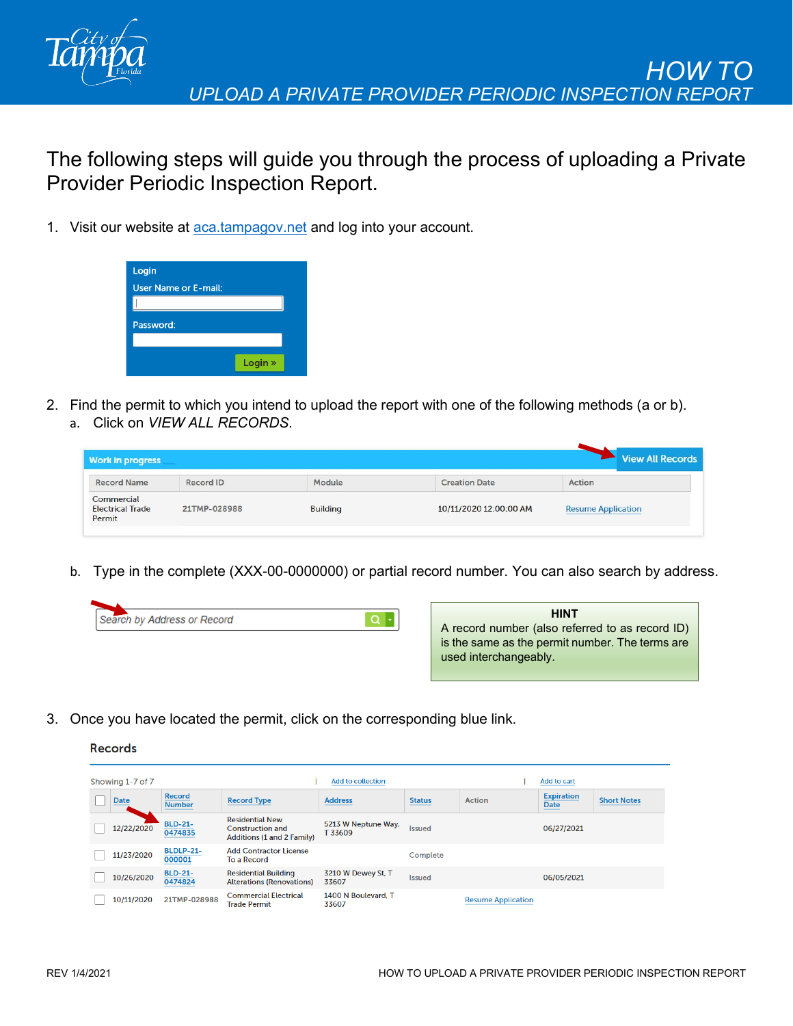

The following steps will guide you through the process of uploading a Private Provider Periodic Inspection Report.

1. Visit our website at [aca.tampagov.net](https://aca.tampagov.net/CitizenAccess/Default.aspx) and log into your account.



2. Find the permit to which you intend to upload the report with one of the following methods (a or b). a. Click on *VIEW ALL RECORDS*.

|                                       | CIICK OIT <i>VIEW ALL RECORDS.</i> |                 |                        |                          |
|---------------------------------------|------------------------------------|-----------------|------------------------|--------------------------|
| <b>Work in progress</b>               |                                    |                 |                        | Vie                      |
| <b>Record Name</b>                    | Record ID                          | Module          | <b>Creation Date</b>   | Action                   |
| Commercial<br><b>Electrical Trade</b> | 21TMP-028988                       | <b>Building</b> | 10/11/2020 12:00:00 AM | <b>Resume Applicatio</b> |

b. Type in the complete (XXX-00-0000000) or partial record number. You can also search by address.

| Search by Address or Record |  |
|-----------------------------|--|
|                             |  |



**v All Records** 

3. Once you have located the permit, click on the corresponding blue link.



Permit

| Add to collection<br>Showing 1-7 of 7 |             |                                |                                                                                 |                               |               |                           | Add to cart                     |                    |
|---------------------------------------|-------------|--------------------------------|---------------------------------------------------------------------------------|-------------------------------|---------------|---------------------------|---------------------------------|--------------------|
|                                       | <b>Date</b> | <b>Record</b><br><b>Number</b> | <b>Record Type</b>                                                              | <b>Address</b>                | <b>Status</b> | <b>Action</b>             | <b>Expiration</b><br>Date<br>__ | <b>Short Notes</b> |
|                                       | 12/22/2020  | <b>BLD-21-</b><br>0474835      | <b>Residential New</b><br><b>Construction and</b><br>Additions (1 and 2 Family) | 5213 W Neptune Way,<br>T33609 | <b>Issued</b> |                           | 06/27/2021                      |                    |
|                                       | 11/23/2020  | <b>BLDLP-21-</b><br>000001     | <b>Add Contractor License</b><br>To a Record                                    |                               | Complete      |                           |                                 |                    |
|                                       | 10/26/2020  | <b>BLD-21-</b><br>0474824      | <b>Residential Building</b><br><b>Alterations (Renovations)</b>                 | 3210 W Dewey St, T<br>33607   | <b>Issued</b> |                           | 06/05/2021                      |                    |
|                                       | 10/11/2020  | 21TMP-028988                   | <b>Commercial Electrical</b><br><b>Trade Permit</b>                             | 1400 N Boulevard, T<br>33607  |               | <b>Resume Application</b> |                                 |                    |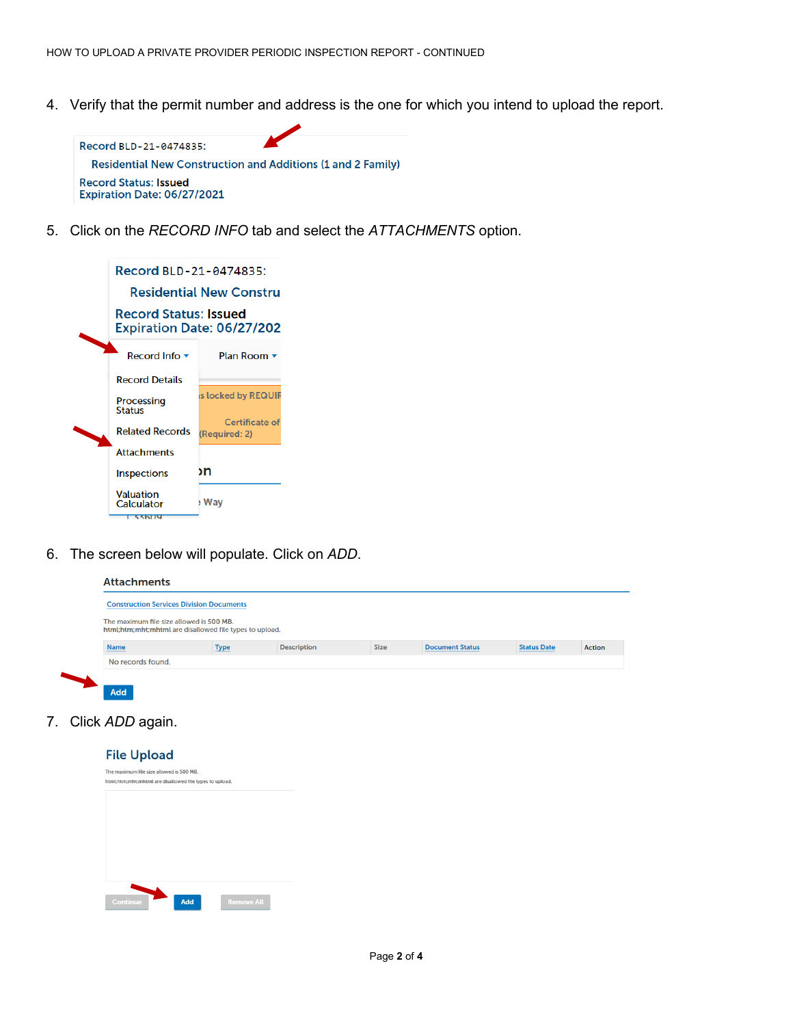4. Verify that the permit number and address is the one for which you intend to upload the report.



5. Click on the *RECORD INFO* tab and select the *ATTACHMENTS* option.

| Record BLD-21-0474835:                                     |                                 |  |  |  |  |  |  |  |
|------------------------------------------------------------|---------------------------------|--|--|--|--|--|--|--|
|                                                            | Residential New Constru         |  |  |  |  |  |  |  |
| <b>Record Status: Issued</b><br>Expiration Date: 06/27/202 |                                 |  |  |  |  |  |  |  |
| Record Info $\blacktriangledown$                           | <b>Plan Room</b>                |  |  |  |  |  |  |  |
| <b>Record Details</b>                                      |                                 |  |  |  |  |  |  |  |
| Processing<br><b>Status</b>                                | is locked by REQUIR             |  |  |  |  |  |  |  |
| <b>Related Records</b>                                     | Certificate of<br>(Required: 2) |  |  |  |  |  |  |  |
| <b>Attachments</b>                                         |                                 |  |  |  |  |  |  |  |
| <b>Inspections</b>                                         | ۱n                              |  |  |  |  |  |  |  |
| <b>Valuation</b><br>Calculator<br>33609                    | Wav                             |  |  |  |  |  |  |  |

6. The screen below will populate. Click on *ADD*.

| <b>Construction Services Division Documents</b> |                                                         |                    |             |                        |                    |               |  |
|-------------------------------------------------|---------------------------------------------------------|--------------------|-------------|------------------------|--------------------|---------------|--|
| The maximum file size allowed is 500 MB.        | html;htm;mht;mhtml are disallowed file types to upload. |                    |             |                        |                    |               |  |
|                                                 |                                                         | <b>Description</b> | <b>Size</b> | <b>Document Status</b> | <b>Status Date</b> | <b>Action</b> |  |
| <b>Name</b>                                     | <b>Type</b>                                             |                    |             |                        |                    |               |  |

7. Click *ADD* again.

**File Upload**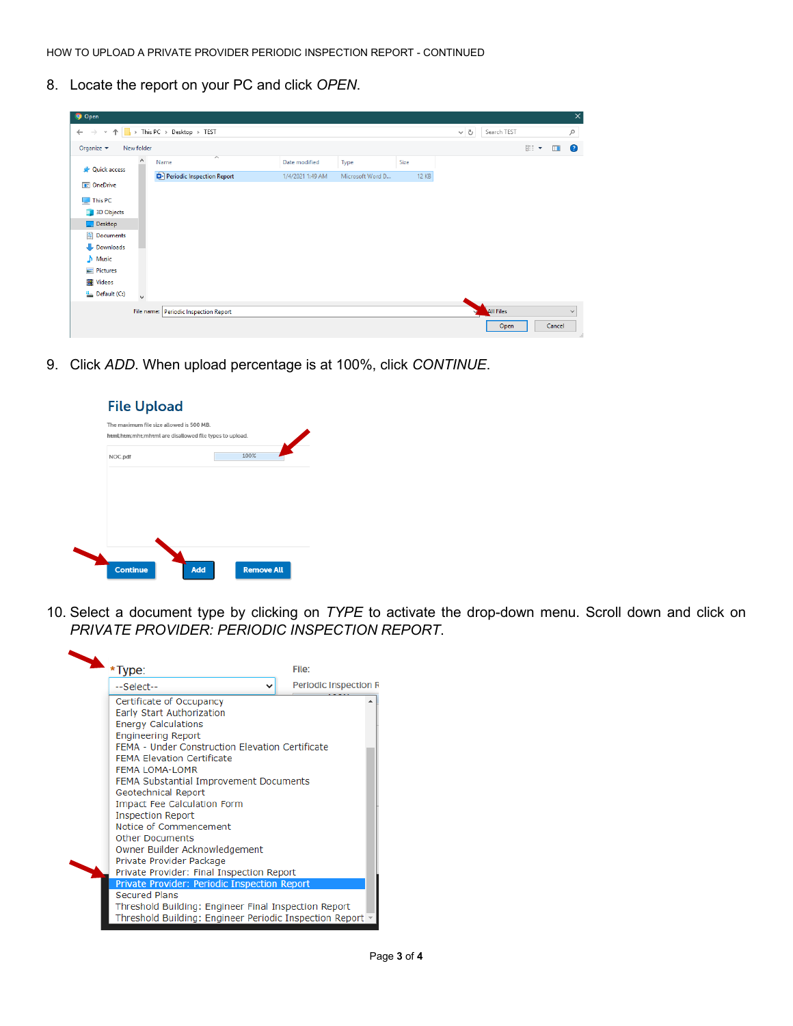8. Locate the report on your PC and click *OPEN*.

| <b>O</b> Open                                      |                     |                                        |                         |                  |                  |      |              |         |                  |     |        | $\times$      |
|----------------------------------------------------|---------------------|----------------------------------------|-------------------------|------------------|------------------|------|--------------|---------|------------------|-----|--------|---------------|
| $\rightarrow$<br>$\leftarrow$<br>$\sim$ $\uparrow$ |                     | $\rightarrow$ This PC > Desktop > TEST |                         |                  |                  |      |              | $\circ$ | Search TEST      |     |        | $\varphi$     |
| Organize $\blacktriangledown$                      | New folder          |                                        |                         |                  |                  |      |              |         |                  | 距 * | $\Box$ | $\bullet$     |
| <b>A</b> Quick access                              | $\hat{\phantom{a}}$ | Name                                   | $\widehat{\phantom{a}}$ | Date modified    | Type             | Size |              |         |                  |     |        |               |
|                                                    |                     | Periodic Inspection Report             |                         | 1/4/2021 1:49 AM | Microsoft Word D |      | <b>12 KB</b> |         |                  |     |        |               |
| <b>DE OneDrive</b>                                 |                     |                                        |                         |                  |                  |      |              |         |                  |     |        |               |
| This PC                                            |                     |                                        |                         |                  |                  |      |              |         |                  |     |        |               |
| 3D Objects                                         |                     |                                        |                         |                  |                  |      |              |         |                  |     |        |               |
| Desktop                                            |                     |                                        |                         |                  |                  |      |              |         |                  |     |        |               |
| Documents                                          |                     |                                        |                         |                  |                  |      |              |         |                  |     |        |               |
| Downloads                                          |                     |                                        |                         |                  |                  |      |              |         |                  |     |        |               |
| $M$ usic                                           |                     |                                        |                         |                  |                  |      |              |         |                  |     |        |               |
| $\blacksquare$ Pictures                            |                     |                                        |                         |                  |                  |      |              |         |                  |     |        |               |
| <b>W</b> Videos                                    |                     |                                        |                         |                  |                  |      |              |         |                  |     |        |               |
| <sup>12</sup> Default (C:)                         | $\checkmark$        |                                        |                         |                  |                  |      |              |         |                  |     |        |               |
|                                                    |                     | File name: Periodic Inspection Report  |                         |                  |                  |      |              | vz      | <b>All Files</b> |     |        | $\checkmark$  |
|                                                    |                     |                                        |                         |                  |                  |      |              |         | Open             |     | Cancel | $\mathcal{A}$ |

9. Click *ADD*. When upload percentage is at 100%, click *CONTINUE*.

| <b>File Upload</b> |                                                                                                     |      |
|--------------------|-----------------------------------------------------------------------------------------------------|------|
|                    | The maximum file size allowed is 500 MB.<br>html;htm;mht;mhtml are disallowed file types to upload. |      |
| NOC.pdf            |                                                                                                     | 100% |
|                    |                                                                                                     |      |
|                    |                                                                                                     |      |
|                    |                                                                                                     |      |
|                    |                                                                                                     |      |
|                    |                                                                                                     |      |
|                    |                                                                                                     |      |

10. Select a document type by clicking on *TYPE* to activate the drop-down menu. Scroll down and click on *PRIVATE PROVIDER: PERIODIC INSPECTION REPORT*.